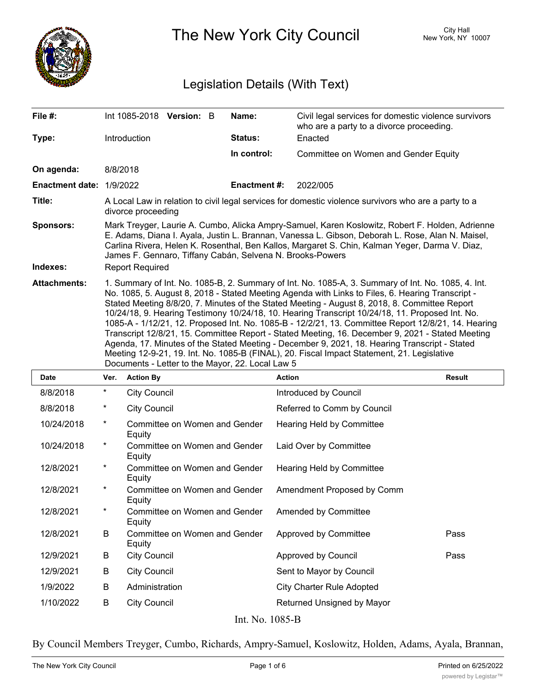

The New York City Council New York, NY 10007

# Legislation Details (With Text)

| File #:                  |                                                                                                                                                                                                                                                                                                                                                                                                                                                                                                                                                                                                                                                                                                                                                                                                                                                                          |                        | Int 1085-2018 Version: B      |  | Name:              | Civil legal services for domestic violence survivors<br>who are a party to a divorce proceeding. |               |  |
|--------------------------|--------------------------------------------------------------------------------------------------------------------------------------------------------------------------------------------------------------------------------------------------------------------------------------------------------------------------------------------------------------------------------------------------------------------------------------------------------------------------------------------------------------------------------------------------------------------------------------------------------------------------------------------------------------------------------------------------------------------------------------------------------------------------------------------------------------------------------------------------------------------------|------------------------|-------------------------------|--|--------------------|--------------------------------------------------------------------------------------------------|---------------|--|
| Type:                    |                                                                                                                                                                                                                                                                                                                                                                                                                                                                                                                                                                                                                                                                                                                                                                                                                                                                          | Introduction           |                               |  | <b>Status:</b>     | Enacted                                                                                          |               |  |
|                          |                                                                                                                                                                                                                                                                                                                                                                                                                                                                                                                                                                                                                                                                                                                                                                                                                                                                          |                        |                               |  | In control:        | Committee on Women and Gender Equity                                                             |               |  |
| On agenda:               |                                                                                                                                                                                                                                                                                                                                                                                                                                                                                                                                                                                                                                                                                                                                                                                                                                                                          | 8/8/2018               |                               |  |                    |                                                                                                  |               |  |
| Enactment date: 1/9/2022 |                                                                                                                                                                                                                                                                                                                                                                                                                                                                                                                                                                                                                                                                                                                                                                                                                                                                          |                        |                               |  | <b>Enactment#:</b> | 2022/005                                                                                         |               |  |
| Title:                   | A Local Law in relation to civil legal services for domestic violence survivors who are a party to a<br>divorce proceeding                                                                                                                                                                                                                                                                                                                                                                                                                                                                                                                                                                                                                                                                                                                                               |                        |                               |  |                    |                                                                                                  |               |  |
| <b>Sponsors:</b>         | Mark Treyger, Laurie A. Cumbo, Alicka Ampry-Samuel, Karen Koslowitz, Robert F. Holden, Adrienne<br>E. Adams, Diana I. Ayala, Justin L. Brannan, Vanessa L. Gibson, Deborah L. Rose, Alan N. Maisel,<br>Carlina Rivera, Helen K. Rosenthal, Ben Kallos, Margaret S. Chin, Kalman Yeger, Darma V. Diaz,<br>James F. Gennaro, Tiffany Cabán, Selvena N. Brooks-Powers                                                                                                                                                                                                                                                                                                                                                                                                                                                                                                       |                        |                               |  |                    |                                                                                                  |               |  |
| Indexes:                 |                                                                                                                                                                                                                                                                                                                                                                                                                                                                                                                                                                                                                                                                                                                                                                                                                                                                          | <b>Report Required</b> |                               |  |                    |                                                                                                  |               |  |
| <b>Attachments:</b>      | 1. Summary of Int. No. 1085-B, 2. Summary of Int. No. 1085-A, 3. Summary of Int. No. 1085, 4. Int.<br>No. 1085, 5. August 8, 2018 - Stated Meeting Agenda with Links to Files, 6. Hearing Transcript -<br>Stated Meeting 8/8/20, 7. Minutes of the Stated Meeting - August 8, 2018, 8. Committee Report<br>10/24/18, 9. Hearing Testimony 10/24/18, 10. Hearing Transcript 10/24/18, 11. Proposed Int. No.<br>1085-A - 1/12/21, 12. Proposed Int. No. 1085-B - 12/2/21, 13. Committee Report 12/8/21, 14. Hearing<br>Transcript 12/8/21, 15. Committee Report - Stated Meeting, 16. December 9, 2021 - Stated Meeting<br>Agenda, 17. Minutes of the Stated Meeting - December 9, 2021, 18. Hearing Transcript - Stated<br>Meeting 12-9-21, 19. Int. No. 1085-B (FINAL), 20. Fiscal Impact Statement, 21. Legislative<br>Documents - Letter to the Mayor, 22. Local Law 5 |                        |                               |  |                    |                                                                                                  |               |  |
| Date                     | Ver.                                                                                                                                                                                                                                                                                                                                                                                                                                                                                                                                                                                                                                                                                                                                                                                                                                                                     | <b>Action By</b>       |                               |  |                    | <b>Action</b>                                                                                    | <b>Result</b> |  |
| 8/8/2018                 | *                                                                                                                                                                                                                                                                                                                                                                                                                                                                                                                                                                                                                                                                                                                                                                                                                                                                        | <b>City Council</b>    |                               |  |                    | Introduced by Council                                                                            |               |  |
| 8/8/2018                 | *                                                                                                                                                                                                                                                                                                                                                                                                                                                                                                                                                                                                                                                                                                                                                                                                                                                                        | <b>City Council</b>    |                               |  |                    | Referred to Comm by Council                                                                      |               |  |
| 10/24/2018               | *                                                                                                                                                                                                                                                                                                                                                                                                                                                                                                                                                                                                                                                                                                                                                                                                                                                                        | Equity                 | Committee on Women and Gender |  |                    | Hearing Held by Committee                                                                        |               |  |
| 10/24/2018               | $^\star$                                                                                                                                                                                                                                                                                                                                                                                                                                                                                                                                                                                                                                                                                                                                                                                                                                                                 | Equity                 | Committee on Women and Gender |  |                    | Laid Over by Committee                                                                           |               |  |
| 12/8/2021                | *                                                                                                                                                                                                                                                                                                                                                                                                                                                                                                                                                                                                                                                                                                                                                                                                                                                                        | Equity                 | Committee on Women and Gender |  |                    | Hearing Held by Committee                                                                        |               |  |
| 12/8/2021                | *                                                                                                                                                                                                                                                                                                                                                                                                                                                                                                                                                                                                                                                                                                                                                                                                                                                                        |                        | Committee on Women and Gender |  |                    | Amendment Pronosed by Comm                                                                       |               |  |

|           |          | Equity                                         |                                  |      |
|-----------|----------|------------------------------------------------|----------------------------------|------|
| 12/8/2021 | $\ast$   | Committee on Women and Gender<br><b>Equity</b> | Amendment Proposed by Comm       |      |
| 12/8/2021 | $^\star$ | Committee on Women and Gender<br>Equity        | Amended by Committee             |      |
| 12/8/2021 | В        | Committee on Women and Gender<br>Equity        | Approved by Committee            | Pass |
| 12/9/2021 | B        | <b>City Council</b>                            | Approved by Council              | Pass |
| 12/9/2021 | B        | <b>City Council</b>                            | Sent to Mayor by Council         |      |
| 1/9/2022  | B        | Administration                                 | <b>City Charter Rule Adopted</b> |      |
| 1/10/2022 | B        | <b>City Council</b>                            | Returned Unsigned by Mayor       |      |
|           |          | <b>T. XT</b>                                   | 100F                             |      |

Int. No. 1085-B

By Council Members Treyger, Cumbo, Richards, Ampry-Samuel, Koslowitz, Holden, Adams, Ayala, Brannan,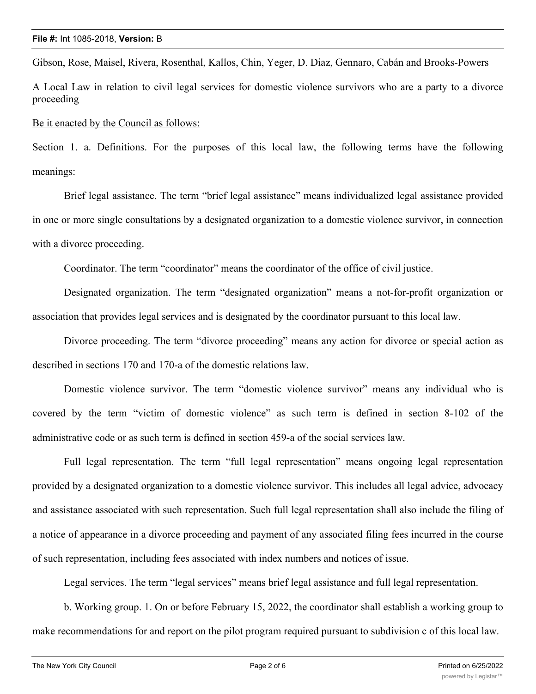Gibson, Rose, Maisel, Rivera, Rosenthal, Kallos, Chin, Yeger, D. Diaz, Gennaro, Cabán and Brooks-Powers

A Local Law in relation to civil legal services for domestic violence survivors who are a party to a divorce proceeding

Be it enacted by the Council as follows:

Section 1. a. Definitions. For the purposes of this local law, the following terms have the following meanings:

Brief legal assistance. The term "brief legal assistance" means individualized legal assistance provided in one or more single consultations by a designated organization to a domestic violence survivor, in connection with a divorce proceeding.

Coordinator. The term "coordinator" means the coordinator of the office of civil justice.

Designated organization. The term "designated organization" means a not-for-profit organization or association that provides legal services and is designated by the coordinator pursuant to this local law.

Divorce proceeding. The term "divorce proceeding" means any action for divorce or special action as described in sections 170 and 170-a of the domestic relations law.

Domestic violence survivor. The term "domestic violence survivor" means any individual who is covered by the term "victim of domestic violence" as such term is defined in section 8-102 of the administrative code or as such term is defined in section 459-a of the social services law.

Full legal representation. The term "full legal representation" means ongoing legal representation provided by a designated organization to a domestic violence survivor. This includes all legal advice, advocacy and assistance associated with such representation. Such full legal representation shall also include the filing of a notice of appearance in a divorce proceeding and payment of any associated filing fees incurred in the course of such representation, including fees associated with index numbers and notices of issue.

Legal services. The term "legal services" means brief legal assistance and full legal representation.

b. Working group. 1. On or before February 15, 2022, the coordinator shall establish a working group to make recommendations for and report on the pilot program required pursuant to subdivision c of this local law.

2. Members of such working group shall include the coordinator and representatives from the following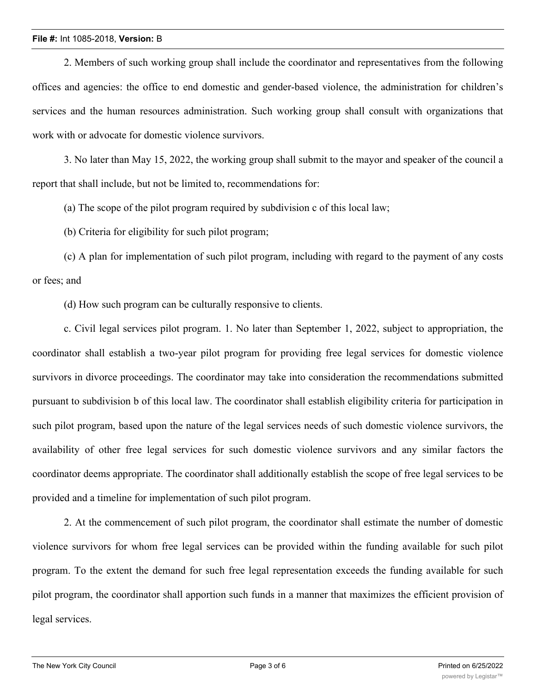2. Members of such working group shall include the coordinator and representatives from the following offices and agencies: the office to end domestic and gender-based violence, the administration for children's services and the human resources administration. Such working group shall consult with organizations that work with or advocate for domestic violence survivors.

3. No later than May 15, 2022, the working group shall submit to the mayor and speaker of the council a report that shall include, but not be limited to, recommendations for:

(a) The scope of the pilot program required by subdivision c of this local law;

(b) Criteria for eligibility for such pilot program;

(c) A plan for implementation of such pilot program, including with regard to the payment of any costs or fees; and

(d) How such program can be culturally responsive to clients.

c. Civil legal services pilot program. 1. No later than September 1, 2022, subject to appropriation, the coordinator shall establish a two-year pilot program for providing free legal services for domestic violence survivors in divorce proceedings. The coordinator may take into consideration the recommendations submitted pursuant to subdivision b of this local law. The coordinator shall establish eligibility criteria for participation in such pilot program, based upon the nature of the legal services needs of such domestic violence survivors, the availability of other free legal services for such domestic violence survivors and any similar factors the coordinator deems appropriate. The coordinator shall additionally establish the scope of free legal services to be provided and a timeline for implementation of such pilot program.

2. At the commencement of such pilot program, the coordinator shall estimate the number of domestic violence survivors for whom free legal services can be provided within the funding available for such pilot program. To the extent the demand for such free legal representation exceeds the funding available for such pilot program, the coordinator shall apportion such funds in a manner that maximizes the efficient provision of legal services.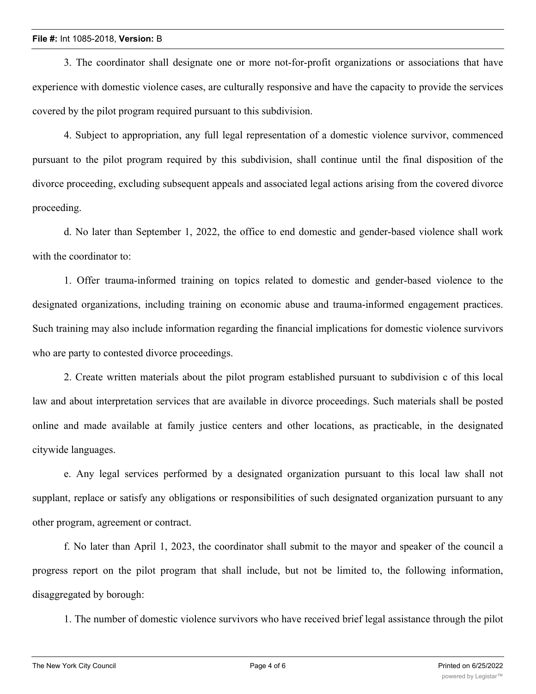3. The coordinator shall designate one or more not-for-profit organizations or associations that have experience with domestic violence cases, are culturally responsive and have the capacity to provide the services covered by the pilot program required pursuant to this subdivision.

4. Subject to appropriation, any full legal representation of a domestic violence survivor, commenced pursuant to the pilot program required by this subdivision, shall continue until the final disposition of the divorce proceeding, excluding subsequent appeals and associated legal actions arising from the covered divorce proceeding.

d. No later than September 1, 2022, the office to end domestic and gender-based violence shall work with the coordinator to:

1. Offer trauma-informed training on topics related to domestic and gender-based violence to the designated organizations, including training on economic abuse and trauma-informed engagement practices. Such training may also include information regarding the financial implications for domestic violence survivors who are party to contested divorce proceedings.

2. Create written materials about the pilot program established pursuant to subdivision c of this local law and about interpretation services that are available in divorce proceedings. Such materials shall be posted online and made available at family justice centers and other locations, as practicable, in the designated citywide languages.

e. Any legal services performed by a designated organization pursuant to this local law shall not supplant, replace or satisfy any obligations or responsibilities of such designated organization pursuant to any other program, agreement or contract.

f. No later than April 1, 2023, the coordinator shall submit to the mayor and speaker of the council a progress report on the pilot program that shall include, but not be limited to, the following information, disaggregated by borough:

1. The number of domestic violence survivors who have received brief legal assistance through the pilot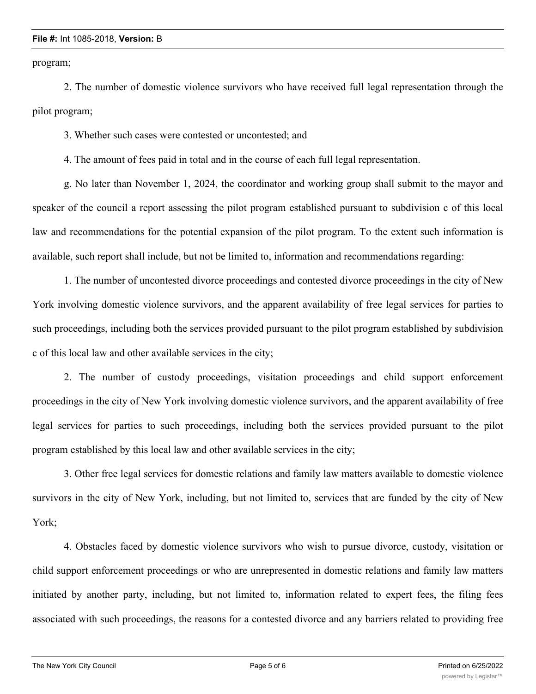program;

2. The number of domestic violence survivors who have received full legal representation through the pilot program;

3. Whether such cases were contested or uncontested; and

4. The amount of fees paid in total and in the course of each full legal representation.

g. No later than November 1, 2024, the coordinator and working group shall submit to the mayor and speaker of the council a report assessing the pilot program established pursuant to subdivision c of this local law and recommendations for the potential expansion of the pilot program. To the extent such information is available, such report shall include, but not be limited to, information and recommendations regarding:

1. The number of uncontested divorce proceedings and contested divorce proceedings in the city of New York involving domestic violence survivors, and the apparent availability of free legal services for parties to such proceedings, including both the services provided pursuant to the pilot program established by subdivision c of this local law and other available services in the city;

2. The number of custody proceedings, visitation proceedings and child support enforcement proceedings in the city of New York involving domestic violence survivors, and the apparent availability of free legal services for parties to such proceedings, including both the services provided pursuant to the pilot program established by this local law and other available services in the city;

3. Other free legal services for domestic relations and family law matters available to domestic violence survivors in the city of New York, including, but not limited to, services that are funded by the city of New York;

4. Obstacles faced by domestic violence survivors who wish to pursue divorce, custody, visitation or child support enforcement proceedings or who are unrepresented in domestic relations and family law matters initiated by another party, including, but not limited to, information related to expert fees, the filing fees associated with such proceedings, the reasons for a contested divorce and any barriers related to providing free